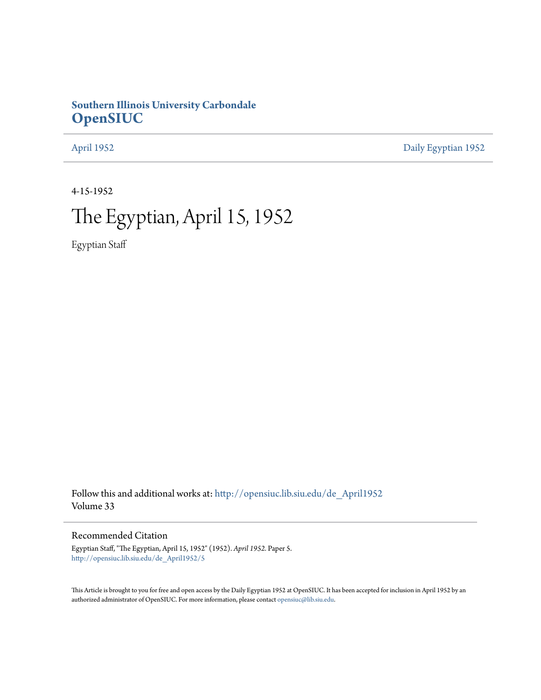# **Southern Illinois University Carbondale [OpenSIUC](http://opensiuc.lib.siu.edu?utm_source=opensiuc.lib.siu.edu%2Fde_April1952%2F5&utm_medium=PDF&utm_campaign=PDFCoverPages)**

[April 1952](http://opensiuc.lib.siu.edu/de_April1952?utm_source=opensiuc.lib.siu.edu%2Fde_April1952%2F5&utm_medium=PDF&utm_campaign=PDFCoverPages) [Daily Egyptian 1952](http://opensiuc.lib.siu.edu/de_1952?utm_source=opensiuc.lib.siu.edu%2Fde_April1952%2F5&utm_medium=PDF&utm_campaign=PDFCoverPages)

4-15-1952

# The Egyptian, April 15, 1952

Egyptian Staff

Follow this and additional works at: [http://opensiuc.lib.siu.edu/de\\_April1952](http://opensiuc.lib.siu.edu/de_April1952?utm_source=opensiuc.lib.siu.edu%2Fde_April1952%2F5&utm_medium=PDF&utm_campaign=PDFCoverPages) Volume 33

### Recommended Citation

Egyptian Staff, "The Egyptian, April 15, 1952" (1952). *April 1952.* Paper 5. [http://opensiuc.lib.siu.edu/de\\_April1952/5](http://opensiuc.lib.siu.edu/de_April1952/5?utm_source=opensiuc.lib.siu.edu%2Fde_April1952%2F5&utm_medium=PDF&utm_campaign=PDFCoverPages)

This Article is brought to you for free and open access by the Daily Egyptian 1952 at OpenSIUC. It has been accepted for inclusion in April 1952 by an authorized administrator of OpenSIUC. For more information, please contact [opensiuc@lib.siu.edu](mailto:opensiuc@lib.siu.edu).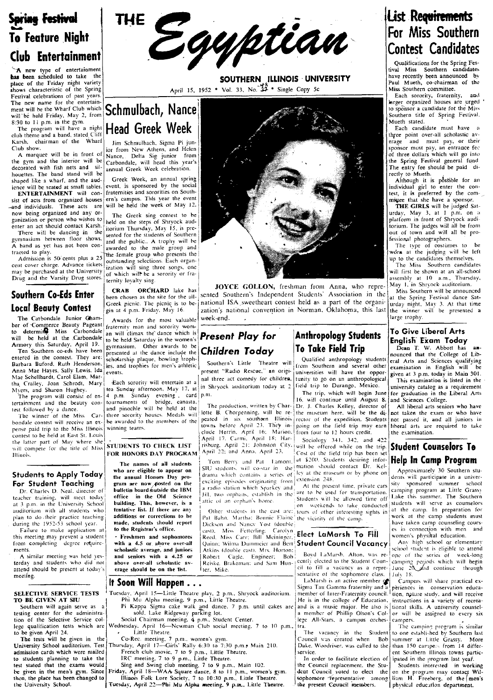# **Spring Festival** To Feature Night Club Entertainment

A new type of entertainment<br>has been scheduled to take the place of the Friday night variety<br>shows characteristic of the Spring The new name for the entertain-<br>The new name for the entertainment will be the Wharf Club which will 'be hold Friday. Mav 2, from 8:30 to I I p.m. in the gym.

The program will have a night club theme and a band, stated Cliff Karsh, chairman of the Wharf Club show.

A marquee will be in front of the gym and the interior will *be*  decorated with fish nets and silhouettes. The band stand will be shaped like a wharf, and the audience will be seated at small tables.

ENTERTAINMENT will consist of acts from organized houses and individuals. These acts are now being organized and any organization or person who wishes to enter an act should contact Karsh.

There will be dancing in the gymnasium between floor shows. A hand as yet has not been contracted to play.

Admission is 50' cents plus a 25 cent cover charge. Advance tickets may be purchased at the University Drug and the Varsity Drug stores.

entered in the contest. They are:  $\begin{bmatrix} \text{schotarship plaque, bowling 'roph-} \\ \text{Barbarn} \end{bmatrix}$  Southern's Little Theatre will Barbara Buford, Ruth Henderson, less and trophies for men's athletic scuttern's Little Theatre will counter in the Sunday students and Sciences qualifying<br>Anna Mae Hayes, Sally Lewis, Ida levents.<br>Mae Schellhardt, Carol El

the latter part of May where she<br>
will compete for the title of Miss STUDENTS TO CHECK LIST<br>
Hinois. [Cost of the field trip has been set<br>  $\begin{bmatrix}\n\text{FOR HONORS } DAY \text{ PROGRAM} \end{bmatrix}$  April 22: and Anna. April 23. [Cost of the field tr

external training. This intervalses and  $\frac{1}{2}$  p.m. in the University School building. This, however, is a auditorium with all students who tentative list. If there are any teacher training, will meet today office in the Old Science at 3 p.m. in the University School building. This, however, is a lattic of an orphan's home.<br>auditorium with all students who tentative list. If there are any of

this meeting may prevent a student<br>from completing degree require-<br>ments.

 $\mathbf{I}$ A similar meeting was held yes-<br>
Lerday and students who did not **above over-all scholastic av-** Reiske, Brakeman: and Sam Hun- and Sam Hun- and Sam Hun- and Sam Hun- and Sam Hun- and Sam Hun- and Sam Hun- and Sam Hun- an



SOUTHERN ILLINOIS UNIVERSITY place of the Friday ingut variety and the Spinne of the Spinne of the Spinne extent of the Spinne extent of the Spinne extending and the Spinne extending extending the Spinne extending of the Spinne extending the Spinne ex

# Schmulbach, Nance Head Greek Week Jim Schmulbach, Sigma Pi jun-

ior from New Athens, and Helen<br>Nance. Delta Sig junior from Delta Sig- junior from Carbondale, will head this year's annual Greek Week celebration,

Greek Week. an annual spring event, is sponsored by the social fraternities and sororities on Southern's campus. This year the event will be held the week of May 12.

The Greek sing contest to be<br>held on the steps of Shryock aud-<br>itorium Thursday, May 15, is presented for the students of Southern and the public.. A trophy will be<br>awarded to the male group and to the male group and the female group who presents the<br>outstanding selections. Each organ-<br>ization will sing three songs, one

For Commerce Beauty Pageant and Southern and an experiment of Commerce Beauty Pageant and Southern and Southern and Southern and Southern and Southern and Southern and Southern and Southern and Southern and Southern and So Armory this Saturday. April 19. We have been assumed to be the content of the content of the content of the content of the content of the content of the content of the content of the content of the content of the content o Ten Southern co-eds have been presented at the dance include the **Children Today 10 IGKE TIEN ITIP**<br>
entered in the contest. They are: scholarship plaque, bowling troph-<br> **A example to the college of Lib-**<br> **A example to** 

# l

SELECTIVE SERVICE TESTS <sup>1</sup> Tuesday, April 15—Little Theatre play, 2 p,m., Shryock auditorium. member of Inter-Fraternity council. I tion, nature study, and will receive **TO BE GIVEN AT SIU** 1 Phi Mu Alpha meeting, 9 p.m.,

- admission cards which were mailed French club movie, 7 to 9 p.m., Little Theatre. Service. Service. [ent Southern Illinois towns partic-<br>to students planning to take the IRC meeting, 7 to 9 p.m., Little Theatre. [1] In ord
	-

test stated that the exams would Sing and Swing club meeting, 7 to 9 p.m., Main 102.<br>
the Council replacement, the Stu- Students interested in working<br>
then, the place has been changed to Illinois Folk Lore Society, 7 to 1 be given in the men's gym. Since Friday, April 18—WAA Square dance, 8 to 11 p.m., women's gym. dent Council voted to elect the on the program may contact Wil-<br>then, the place has been changed to Illinois Folk Lore Society,

### tival Miss Southern candidates<br>have recently been announced by Paul Mueth, co-chairman of the Miss Southern committee. Each sorority, fraternity, and<br>larger organized houses are urged to sponsor a candidate for the Miss Southern title of Spring Festival, Mueth stated. Each candidate must have a three point over-all scholastic av-<br>erage and must pay, or their and must pay, or their sponsor must pay, an entrance fee of three dollars which will go into the Spring Festival general fund The entry fee should be paid directly to Mueth. Although it is possible for an individual girl to enter the con-

THE GIRLS will be judged Saturday, May 3, at 1 p.m. on :1 platform in front of Shryock auditorium. The judges will all be from out of town and will all be professional photographers.

**IList Requirements** For Miss Southern Contest Candidates Qualifications for the Spring Fes-

The type of costumes to be worn at the judging will be left<br>up to the candidates themselves.<br>The Miss Southern candidates

Example of which will sing three songs, one<br>of which will first be shown at an all-school<br>ternity loyalty sing.<br>**All-school of the shown at 10 a.m.**, Thursday,<br> $\frac{1}{2}$  **COVION** freehman from Anna who rence. May 1, in Shr

nor passed it. and all juniors in liberal arts are required to take the examination.

Students to Apply Today<br>
The annual Honors Day pro-<br>
The annual Honors Day pro-<br>
The annual Honors Day pro-<br>
The annual Honors Day pro-<br>
The annual Honors Day pro-<br>
The annual Honors Day pro-<br>
The annual Honors Day pro-<br>
C and item in the Control of the students who I tendative list. If there are any Other students in the cast are: tours of other interesting sights in all the Camp. In preparation for plan to do their practice teaching additi

# test, it is preferred by the com-<br>mittee that she have a sponsor.

 $\mathbf{I}$ CRAB' ONCE GOLLON, freshman from Anna, who repre- May I. in Shryock auditorium.<br>
CRAB' ORCHARD lake has **CRYCE GOLLON**, freshman from Anna, who repre- May I. in Shryock auditorium.<br>
Greek picnic. The picnic is to be- natio **Southern Co-Eds Enter** been chosen as the site for the ailst Sented Southern's Independent Students' Association in the site of the Organization of the Spring Testival dance Spring Festival dance Spring Festival dance Sa **Local Beauty Confest** Separation: The picture is to be a national ISA sweetheart contest held as a part of the organi- and part of the straight. May 3. At that time The Carbondale Junior Cham- Awards for the most valuable week-end.

ertainment and the beauty con-<br>
learned to bridge, canasta,<br>
The production, written by Char-<br>
The Miss Early director of<br>
The winner of the Miss Barbard the di-<br>
The winner of the Miss Car-<br>
three sorority houses. Medals contest to be held at East St. Louis (within a term in the heat of the heat of the heat of the heat of the heat of the latter part of May where she extra the extreme of the latter part of May where she extreme to curve the The winner of the Miss Car-<br>
bondale contest will receive an ex-<br>
contest to be held to the society of the experiment of the experiment of the experiment of the experiment of<br>
contest to be the Miss (Hinder April 21: Distr

**additions or corrections to be**  $\begin{bmatrix}$   $p_{\text{d}} & B_{\text{a}} & h_{\text{d}} \\ h_{\text{d}} & B_{\text{a}} & h_{\text{d}} \end{bmatrix}$ , Martha: Bonnie Elaine the vicinity of the camp. made, students should report Dickson and Nancy Yost (double) to the Registrar's office. Failure to make application at **made, students should report** and Nature Yost (double). The camping to the camping cours-<br>
Failure to make application at **to the Registrar's office.** Carolyn , and Nature Yost (double). The to the Registrar's office.<br>• Freshmen and sophonores Reed. Miss Carr: Bill Meininger. Elect LaMarsh To Fill women's physikal education.<br>with a 4.5 or above over-all Quinn; Wilma Dummeier and Bert Student Council Vacancy An with a 4.5 or above over-all (Quinn; Wilmia Dummeier and Bert Student Council Vacancy scholastic average, and juniors ents. Schoolstic average, and juniors Atkins (double cast). Mrs. Horton: I is expected to attend the series of week-long A similar meeting was held yes-<br>A similar meeting was held yes- and **seniors with a 4.25 or** Robert C

Barbara Buford, Ruth Henderson, i.es, and trophies for men's athletic southern's Little Theatre will from Southern and several other examination in English will be<br>Anna Mae Hayes, Sally Lewis, Ida events, the events, prese

The program will consist of en-<br>tertainment and the beauty con-<br>tertainment and the beauty con-<br>Lead signals will be health and the beauty con-<br>The production, written by Char-i Dr. J. Charles Kelley, director of All hibe Lectrainment and the beauty con-<br>test followed by a dance.<br>The production, written by Char-<br>The production, written by Char-<br>The museum here is the production of the PC in the second of the pearl of the pearl of the pearl

The names of all students  $\begin{bmatrix} 1 & 0 \\ 0 & 1 \end{bmatrix}$ . Tom Berry and Pat Lamont.  $\begin{bmatrix} 1 & 0 \\ 0 & 0 \end{bmatrix}$ . Students desiring infor-  $\begin{bmatrix} \text{He}} \text{he} \end{bmatrix}$  **Referent Brown SIU** students. Will co-star in the mation should Students to Apply Today the annual Honors Day pro-

outeen board solid and the Old Science and the set of the set of the set of the set of the complete in the Old Science and the U.S. establish in the latter is a set of the Students will be allowed time off Lake this summer

If Soon Will Happen. • City, State of the sophomore class. July 18.<br>It Soon Will Happen. • LaMarsh is an active member of leading and a period of the sophomore class. Sull share practical ex-<br>Tuesday, 'April 15—Little Thea **SELECTIVE SERVICE TESTS** I uesay. Appli 13-11the Theatre play, 2 p.m., birvock auditorium. member of Inter-Fraterity council.<sup>1</sup> tion, nature study, and will receive<br>
Southern will again serve as a primal phi Mu Alpha me

to be given April 24. In the Student of the Student of the Student of the Student of the Student of the Student of Sulthern last<br>The tests will be given in the Co-Rec. meeting, 7 p.m., women's gym.<br>University School audit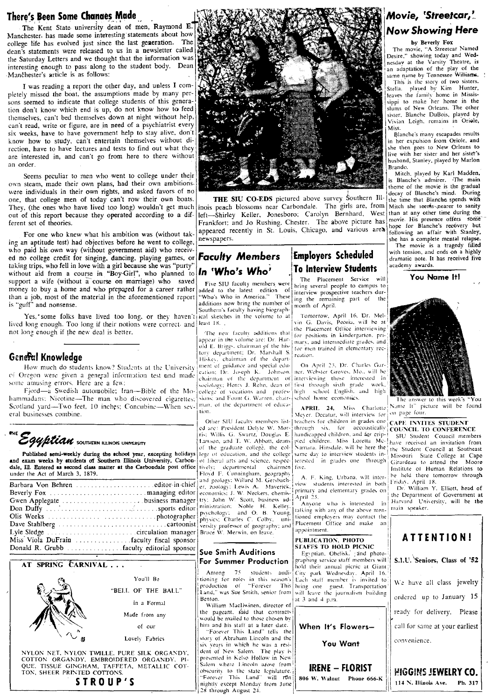### There's Been Some Chanaes Made

The Kent State university dean of men, Raymond E Manchester. has made some interesting' statements about how college life has evolved just since the last generation. The dean's statements were released to us in a newsletter called the Saturday Letters and we thought that the information was interesting enough to pass along to the student body. Dean ·Manchester·s article is as follows:

I was reading a report the other day, and unless I com· pletely missed the boat. the assumptions made by many per· sons seemed to indicate that college students of this generation don't know which end is up, do not know how to feed themselves, can't bed themselves down at night without help, can't read, write or figure, are in need of a psychiatrist every six weeks, have to have government help to stay alive. don't know how to study, can't entertain themselves without direction. have to have lectures and tests to find out what they are interested in, and can't go from here to there without an order.

Seems peculiar to men who went to college under their own steam, made their own plans, had their own ambitions. were individuals in their own rights, and asked favors of no one, that college men of today can't row their own boats. out of this report because they operated according to a different set of theories.

For one who knew what his ambition was (without taking an aptitude test) had objectives before he went to college. who paid his own way (without government aid) who received no college credit for singing, dancing. playing games, or *Faculty Members* Employers Scheduled taking trips, who fell in love with a girl because she was "purty" |  $ln$  "Who's Who' | To Interview Students without aid from a course in "Boy-Girl", who planned to **In 'Who's Who'** . 10 **ill course all properties** will support a wife (without a course on marriage) who saved . Five SIU faculty members were bring several people to campus to money to huy a home and who prepared for a career rather money to buy a home and who prepared for a career rather added to the latest edition of interview prospective teachers durmoney to buy a home and who prepared for a career rather added to the latest edition of interview prospective teachers dur-<br>than a job, most of the material in the aforementioned report "Who's Who in America." These ing th

Yes,' some folks have lived too long. or they haven't lived long enough. Too long if their notions were correct- and least 18. not long enough if the new deal is better.

# Genefal Knowledge

How much do students know? Students at the University of Oregon were given a general information test and made some amusing errors. Here are a few:

Fjord-a Swedish automobile; Iran-Bible of the Mo-collegs of vocations and profes- high school English. and ansistence of the school controllers and controllers and professional mediation and literature and literature and t hammadans: Nicotine-The man who discovered cigarettes; sions and Fount G. Warren, chair school home economics.<br>Scotland yard—Two feet, 10 inches; Concubine-When sey- man, of the department of educa-<br>**APRIT\_24.** Miss. Charl Scotland yard—Two feet, 10 inches; Concubine—When sev- $\left|$ <sup>nian, of the department of educa-</sup> **APRIL 24.** Miss. Charlotte Name It" picture will be Fjord—a Swedish automobile; Iran—Bible of the Mo-college of vocations and profes-<br>hammadans: Nicotine—The man who discovered cigarettes; sions: and Fount G. Warren, chair-<br>Scotland yard—Two feet, 10 inches; Concubine—When

"'E~ =<br>Egyptian southern ILLINOIS UNWERSITY

Published semi-weekly during the school year, excepting holidays and exam weeks by students of Southern Illinois University, Carbondale, Ill. Entered as second class matter at the Carbondale post office tively; under the Act of March 3. 1879.

| Gwen Applegate business manager           |
|-------------------------------------------|
|                                           |
|                                           |
|                                           |
|                                           |
| Miss Viola DuFrain faculty fiscal sponsor |
|                                           |

### AT SPRING CARNIVAL...



NYLON NET, NYLON TWILLE. PURE SILK ORGANDY. COTTON ORGANDY. EMBROIDERED ORGANDY. PI· QUE. TISSUE GINGHAM, TAFFETA, METALLIC COT-<br>TON, SHEER PRINTED COTTONS. STROUP'S



They, (the ones who have lived too long) wouldn't get much inois peach blossoms near Carbondale. The girls are, from Mitch she seems pearer to sanity THE SIU CO-EDS pictured above survey Southern III-<br>neach blossoms near Carbondale. The girls are, from Mitch she seems-nearer to sanity left-Shirley Keller, Jonesboro; Carolyn Bernhard, West than at any other time during the Frankfort; and Jo Rushing, Chester. The above picture has movie. His presence offers some appeared recently in St. Louis, Chicago, an Frankfort: and Jo Rushing. Chester. The above picture has appeared recently in St. Louis. Chicago, and various  $\text{area}$  following an affair with Stanley,<br>newspapers.

additions now bring the number of  $\begin{bmatrix} \text{mg} & \text{me} \\ \text{month} & \text{of} \\ \text{month} & \text{of} \\ \end{bmatrix}$ Southern's faculty having biographical sketches in the volume to at Tomorrow, April 16. Dr. Mel-

The new faculty additions that  $\int$  for positions in kindergarten, pri-<br>appear in the volume are: Dr. Hur-bar, and intermediate and the and appear in the volume arc:  $Dr$ . PLI<sup>11</sup>- $\frac{1}{r}$  mary, and intermediate grades, and old E. Briggs, chairman of the his- $\frac{1}{r}$  correspondent and  $\frac{1}{r}$ tory department; Dr. Marshall S. reation, Hiskey, chairman of the depart-

Other SIU faculty members list- $\vert$  teachers for children in grades one  $\vert$  CAPE INVITES STUDENT ed are: President Delyte W. Mor- $\vert$  through  $\vert$  six, for accoustically  $\vert$  COUNCIL TO CONFERENCE 1.awson, and T. W. Abbott, deans pled children. Miss Loretta Mc- have received an invitation from of the graduate college, the col- Namara, Hinsdale, will be here the the student Council at Southeast of the graduate college. the col- : Namara, Hinsdale, will be here the the Student Council at Southeast<br>lege of education, and the college same day to interview students in- Missouri. State College at Cape FIOND F. Cunningham, geography ... A. F. King, Urbana, will inter-<br>and geology: Willard M. Gersbach- view students interested in both Friday. April 18.<br>Pr. zoology: Lewis A. Maverick. Incinery and elementary grades on Dr. editor-in-chief  $\begin{vmatrix} e_1 & z_0 \end{vmatrix}$  and  $\begin{vmatrix} e_1 & z_0 \end{vmatrix}$  and  $\begin{vmatrix} e_1 & z_1 \end{vmatrix}$  be the students interested in both (1989). Only Dr. Elliott, head of  $\frac{1}{2}$  economics: J. W. Neckers, chemis-<br>  $\frac{1}{2}$  conomics: J. W. Neckers, chemis-<br>  $\frac{1}{2}$   $\frac{1}{2}$   $\frac{1}{2}$ .  $\frac{1}{2}$ <br>  $\frac{1}{2}$   $\frac{1}{2}$   $\frac{1}{2}$ ,  $\frac{1}{2}$   $\frac{1}{2}$ ,  $\frac{1}{2}$ ,  $\frac{1}{2}$  anyone who is int business manager  $\begin{vmatrix} try: John W. Scott, business ad-|Appn 25.1 \end{vmatrix}$  Anyone who is interested in  $\begin{vmatrix} Harvard & University, will be the number of minimization. Note that the number of real components are not specified, and the number of real numbers are not specified.$ . photographer ph) ... ic...; Charle" C. Colhy. uni- tloned emplo).~.n. m:l) contact .. , , ..... cartoonist ver ..... ity profe ....... or af geL)gr~lphy; and <sup>1</sup>:laC~lllent OffICe ;]nd maJ...e an versity professor of geography; and  $\begin{bmatrix}$  Placement. Given by  $\end{bmatrix}$  appointment.

tioning for roles in this season's<br>|production of "Forever" This

story of Abraham Lincoln and the six years in which he-was a resi-<br>dent of New Salem. The play is

vin G. Davis, Peoria, will be at  $\frac{1}{\sqrt{1}}$  the Placement Office interviewing for men trained in elementary rec-

ment of guidance and special edu- | . On April 23, Dr. Charles Gar-}<br>cation: Dr. Joseph K. - Johnson. | ner. Webster Groves, Mo., will be chairman of the department of interviewing those interested in<br>sociology: Henry J. Rehn, dean of first through sixth grade work, existion of the separation of first through sixth grade work,<br>college of vocations and profes high school English, and high

ris: Willis G. Swartz, Douglas E. handicapped children, and for crip-18 SIV Student Council members<br>Lawson, and T. W. Abbott, deans pled children. Miss. Loretta Mc-1 have received an invitation from lege of education, and the college same day to interview students in Missouri State College at Cape<br>of liberal arts and science, respec-terested in grades one through Girardeau to attend the Moore

A. F. King, Urbana, will inter-<br>view students interested in both

# PUBLICATION, PHOTO

 $\begin{array}{|l|l|}\n\hline\n\end{array}$  SIAFFS TO HOLD PICNIC  $\begin{array}{c} \hline\n\end{array}$  SIAFFS TO HOLD PICNIC **Sue Smith Auditions Explicion** Explicit For Summer Production **I** graphing service staff members will hold their annual picnic at Giant Among 75 students audi- City park Wednesday, April 16. production of "Forever This bring one guest. Transportation'<br>
Land, was Sue Smith, senior from will leave the journalism building<br>
Benton.<br>
William MacIiwinen, director of the contraction of the contraction of the contract



# You Want

presented in Kelso Hollow in New  $\begin{bmatrix} \vdots \\ \vdots \\ \vdots \end{bmatrix}$  slem where Lincoln arose from **I incurred Incoln are i** Sometime Interaction are interaction in  $\mathbf{RENE} = \mathbf{HORIST}$ <br>
"Forever" This Land" will ron i 806 W. Walnut Phone 666-K<br>
mightly except Monday from June "Forever This Land" will run and 806 W. Walnut Phone 666-K | 114 N. Illinois Ave.<br>128 through August 24.

# Movie, 'Streetcar,' Now Showing Here

by Beverly Fox The movie, "A Streetcar Named Desire," showing today and Wed-<br>nesday at the Varsity Theatre, is an adaptation of the play of the same name by Tennessee Williams.

This is the story of two sisters.<br>
Stella, played by Kim Hunter,<br>
Icaves the family home in Mississippi to make her home in the slums of New Orleans. The other<br>sister, Blanche DuBois, played by sister, Blanche DuBois, played by Vivian Leigh, remains in Oriole,

Miss.<br>Blanche's many escapades results in her expulsion from Oriole, and she then goes to New Orleans to live with her sister and her sister's husband. Stanley. played by Marlon Branda.

decay of Blanche's mind. During Mitch. played by Karl Madden, is Blanche's admirer. -The main theme of the movie is the gradual<br>decay of Blanche's mind. During

The movie is a tragedy filled with tension, and ends on a highly dramatic note. It has received five academy awards,

You Name It!



departmental chairmen five. The chairmen 11-1 chairmen 11-1. Import in the moore



Ph. 317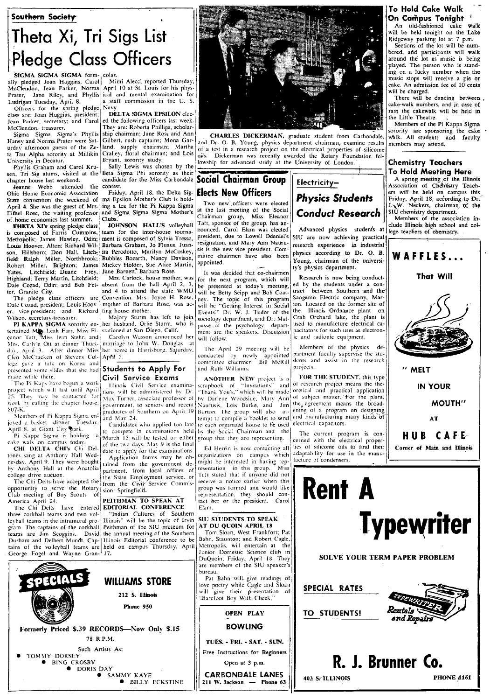### Southern Society



McClendon, Jean Parker, Norma

Officers for the spring pledge Navy.<br>
Ses are: Ioan Huggins, president: DELTA SIGMA EPSILON elec-Jean Parker, secretary; and Carol<br>McClendon, treasurer.

Ohio Home Economic Association Friday, April 18, the Delta Sig- **Elects New Officers** Resets on entitled Signal Control of The Figure 2016 of the Head of the Figure on campus of the state convention the weekend of ma Epsil Onio Home Economic Association (Thus), April 18, according to Dr. The Medicine on the Wester Control of the State Control of the State of the Pi Kappa Sigma and Sigma Sigma and Muslem and Two new officers were elected **Phy** Eithel Rose, the visiting professor and Sigma Sigma Sigma Mother's of home economics last summer. Clubs:

Metropolis: James Hawley, Odin; ment is composed of Sylvia Tresso, president, due to Lowell Odaniel's<br>
Louis Hoover, Alton; Richard Wil- Barbara Graham, Jo Fluaus, Juan- resignation, and Mary Ann Nauru. son, Hillsboro; Don Hall, Litch- ita Perodotto, Marilyn McCoskey, sis is the new vice president. Com-<br>field; Ralph Miller, Northbrook; Bubbles Bozarth, Nancy Davison, muittee chairmen have also been field; Ralph Miller, Northbrook; Bubbles Bozarth, Nancy Davison, Inniee chairmen nave also been Young, chairman of the<br>Robert Miller, Brighton; James Mickey Holder, Sue Alice Martin, appointed.<br>Yates. Litchfield; Duane Fre Highland; Terry Martin, Litchfield; Mrs. Carlock, house mother, was for the next program, which will<br>Dale Cozad, Odin; and Bob Fet- absent from the hall April 2, 3, be presented at today's meeting.

er. vice-president; and Richard ting house mother.<br>Wilson secretary-treasurer. Majory Sturm has left to join

eanor Taft, Miss Jean Stehr, and Carolyn Wasson announced her will follow.<br>Mrs. Carlyle Ott at dinner Thurs- marriage to John W. Douglas at Mrs. Carlyle Ott at dinner Thurs-<br>
day, April 3. After dinner Miss her home in Harrisburg, Saturday. The April 29 meeting will be Members of the physics de-<br>
Cleo McCracken of Stevens Col- April 5.<br>
committee chairmen. Bil CIeo McCracken of Stevens Col- Apfil 5. Cleo McCracken of Stevens Col- April 5.<br>
Cleo McCracken of Stevens Col- April 5.<br>
In the reason of Stevens and committee chairmcn Bill McRill dents a<br>
nege gave a talk on Korea and **Students to Apply For** and Ruth Williams resented some slides that she had **Students to Apply For** presented some slides that she had **Civil Service Exams** 

recount Gams in the minimizar pro-<br>
paint. The captural periheran of the SIU museum for AT DU QUOIN APRIL 18<br>
teams are Jim Scoggins, David the annual meeting of the Southern Tom Sloan, West Frankfort; Pat<br>
Durham and Delb Iteams are Jim Scoggins, David the annual meeting of the Southern Tom Sloan, West Frankfort; Pat<br>Durham and Delbert Mundt. Cap- Illinois Editorial conference to be Bahn, Staunton; and Robert Cagle,<br>tains of the volleyball

ally pledged Joan Huggins, Carol Mimi Alecci reported Thursday,<br>McClendon, Jean Parker, Norma April 10 at St. Louis for his phys-Prater, Jane Riley, and Phyllis cal and mental examination for Ludrigan Tuesday, April 8. **a** staff commission in the U. S.

class are: Joan Huggins, president; DELTA SIGMA EPSILON elec-<br>Jean Parker, secretary; and Carol ed the following officers last week. Clendon, treasurer. They are: Roberta Phillips, scholar-<br>Sigma Sigma Sigma's Phyllis ship chairman; Jane Ross and Ann

**THETA XI's** spring pledge class **JOHNSON HALL'S** volleyball <sup>1 att, sponsor of the group, has an-<br>is composed of Farris Cummins, team for the inter-house tourna- nounced. Carol Elam was elected Advanced physics students a</sup> Barbara Graham, Jo Fluaus, Juan- resignation, and Mary Ann Nauru-<br>ita Perodotto, Marilyn McCoskey, six the new vice president. Com- physics according to Dr. O. B.

The pledge class officers are Convention. Mrs. Joyce H. Rose.  $n$ ey. Dale Cozad, president; Louis Hoov-1 mother of Barbara Rose, was ac- $\frac{1}{w}$ ill

April 8, at Giant City park.<br>
Pi Agris is con-<br>
calc March 15 will be tested on either group that they are representing.<br>
Calc walk on campus today.<br>
CHI DELTA CHI's Chi Del-<br>
date to apply for the evaluations<br>
calc Herrin

three corkhall teams and two vol- "Indian Cultures of Southern ---------

Sigma Sigma Sigma's Phyllis ship chairman; Jane Ross and Ann CHARLES DICKERMAN, graduate student from Carbondale.<br>Haney and Norma Prater were Sat- Gilbert, rush captains; Mona Gar- and Dr. O. B. Young, physics department c Haney and Norma Prater were Sat- Gilbert, rush captains; Mona Gar- and Dr. O. B. Young, physics department chairman, examine results urday afternoon guests of the Ze- land, supply chairman; Martha of a test in a research p urday afternoon guests of the Ze- land, supply chairman; Martha of a test in a research project on the electrical properties of silicome<br>La Tau Alpha sorority at Millikin Cralley, floral chairman; and Lois oils, Dickerman ta Tau Alpha sorority at Millikin Crallev, floral chairman; and Lois *oils,* Dickerman was recently awarded the Rotary Foundation tel-University in Decaur.<br>
Phyllis Graham and Carol Kru-<br>
en, Tri Sig alum and Carol Kru-<br>
en, Tri Sig alum and Carol Kru-<br>
en, Tri Sig alum and Carol Kru-<br>
en, Tri Sig alum and Carol Kru-<br>
en, Tri Sig alum and Carol Kru-<br>
en

officers were elected and Sigma Sigma Sigma Sigma Sigma Sigma Sigma Sigma Sigma Sigma Sigma Mother's chairman group, Miss Eleanor **Conduct Research** Silu chemistry department.<br> **Conduct Research** Conduct Side association i nter Sigma Sigma Nouter's Chairman group, Miss Eleanor **Conduct Research**<br> **Clubs:** Hembers of the associated<br> **HOMESON HALL'S** volleyball Taft, sponsor of the group, has an-<br>
team for the inter-house tourna-<br>
nounced. Car

ter, Granite City.<br>The pledge class officers are Convention. Mrs. Joyce H. Rose, ney. The topic of this program will be "Getting Interest in Social Events." Dr. W. J. Tudor of the The Majory Sturm has left to join sociology department, and Dr. Mal-<br>
PI KAPPA SIGMA sorority en-<br>
retained Mas. El-<br>
stationed at San Diego, Calif.<br>
ment are the speakers. Discussion **PI KAPPA SIGMA** sorority en- her husband. Orlie Sturm. who is passe of the psychology depart-<br>tertained May Leah Farr, Miss Ei- stationed at San Diego, Calif. ment arc the speakers. Discussion

nate while there.<br>The Pi Kaps have begun a work **Civil Service Examina-** ANOTHER NEW project is a FOR THE STUDENT, this type The Pi Kaps have begun a work Thinois Civil Service examina-scraphook of "Invitations." and of research project means the the-<br>project which will last until April tions will be administered by Dr. "Thank You's," which will be Pi Kaps have begun a work<br>  $\begin{bmatrix} \text{in } \mathbb{R} \\ \text{in } \mathbb{R} \end{bmatrix}$   $\begin{bmatrix} \text{in } \mathbb{R} \\ \text{in } \mathbb{R} \end{bmatrix}$   $\begin{bmatrix} \text{in } \mathbb{R} \\ \text{in } \mathbb{R} \end{bmatrix}$  .  $\begin{bmatrix} \text{in } \mathbb{R} \\ \text{in } \mathbb{R} \end{bmatrix}$  .  $\begin{bmatrix} \text{in } \mathbb{R} \\ \text{in } \mathbb{R} \end{bmatrix$ 25. The: .111.;1: he C0/1L1Ctcd for 1.\1;1\. Turner. a..,..,ociatc Erofc~~()r oj hy D3rlcnc \Voo& .. idc, !\fary Ann of ~uhJCct matter. -For the plant, work by calling the chapter house. government, to seniors and recent Naurusis, Lois Burke, and Jim the agreement means the broad-<br>Even be a senior of the productes of Southern on April 19 Burton. The group will also at, en Members of Pi Kappa Sigma en:<br>
joyed a basket dinner Tuesday. The and May 24.<br>
April 8. at Giant City park.<br>
Candidates who applied too late to each organized house to be used electrical capacitors.<br>
April 8. at Giant City

date to apply for the examinations. Ed Herrin is now contacting all lies of shicome ons to find their<br>Annication forms may be ob- organizations on campus which adaptability for use in the manutones sang at Anthony Hall Wed-<br>nesday. April 9. They were bought application forms may be ob-<br>nesday. April 9. They were bought ained from the government de-<br>might be interested in having rep. and accure of condensers. tones sang at Anthony Hall Wed-<br>
heyday. April 9. They were bought tained from the government de-<br>
imight be interested in having rep.<br>
the Anthony Hall at the Anatolia partment, from local offices of resentation in this g college drive auction. I he State Employment service, or Taft stated that if anyone did not The Chi Delts have accepted the  $\lim_{n \to \infty}$  from the Civil/Service Commis- receive a notice earlier when this The Chi Delts have accepted the from the Civil/Service Commis-<br>
opportunity to ,serve the Rolary sign, Springfield.  $\begin{bmatrix} \text{group was of } | \\ \text{group was formed and would like } \end{bmatrix}$ <br>
Club meeting of Boy Scouts of Club meeting of Boy Scouts of The Chi Delts have entered **PELTHMAN TO SPEAK AT** lact her or the president. Carol I The Chi Delts have entered **EDITORIAL CONFERENCE** Elam.

211 W. Jackson - Phone 63

# To Hold Cake Walk On Campus Tonight

will be held tonight on the Lake Ridgeway parking lot at 7 p.m.

Sections of the lot will be numbered, and participants will walk<br>around the lot as music is being played. The person who is stand· ing on a lucky number when the music stops will receive a pie or cake. An admission fee of 10 cents will be charged.

There will be dancing between. cake-walk numbers, and in case of rain the cakewalk will be held in the Little Theatre.

Members of the Pi Kappa Sigma sorority are sponsoring the cake whik. All students and faculty<br>members may attend.

chapter house last weekend. Candidate for the Miss Carbondale **Social Chairman Group** Electricity-<br>
Ohio Home Economic Association of Chemistry Teach-<br>
Ohio Home Economic Association of Chemistry Teach-<br>
Ohio Home Economic









physics according to Dr. O. B.